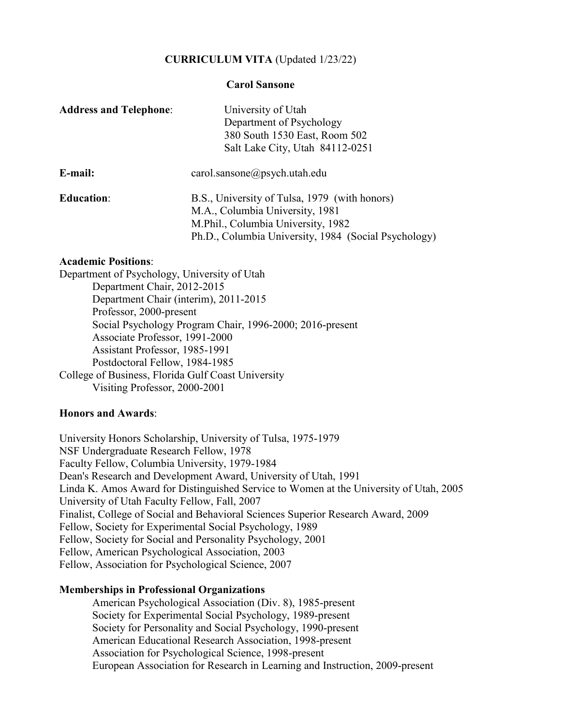# **CURRICULUM VITA** (Updated 1/23/22)

### **Carol Sansone**

| <b>Address and Telephone:</b> | University of Utah                                   |
|-------------------------------|------------------------------------------------------|
|                               | Department of Psychology                             |
|                               | 380 South 1530 East, Room 502                        |
|                               | Salt Lake City, Utah 84112-0251                      |
| E-mail:                       | $card.$ sansone $@$ psych.utah.edu                   |
| <b>Education:</b>             | B.S., University of Tulsa, 1979 (with honors)        |
|                               | M.A., Columbia University, 1981                      |
|                               | M.Phil., Columbia University, 1982                   |
|                               | Ph.D., Columbia University, 1984 (Social Psychology) |
|                               |                                                      |

### **Academic Positions**:

Department of Psychology, University of Utah Department Chair, 2012-2015 Department Chair (interim), 2011-2015 Professor, 2000-present Social Psychology Program Chair, 1996-2000; 2016-present Associate Professor, 1991-2000 Assistant Professor, 1985-1991 Postdoctoral Fellow, 1984-1985 College of Business, Florida Gulf Coast University Visiting Professor, 2000-2001

### **Honors and Awards**:

University Honors Scholarship, University of Tulsa, 1975-1979 NSF Undergraduate Research Fellow, 1978 Faculty Fellow, Columbia University, 1979-1984 Dean's Research and Development Award, University of Utah, 1991 Linda K. Amos Award for Distinguished Service to Women at the University of Utah, 2005 University of Utah Faculty Fellow, Fall, 2007 Finalist, College of Social and Behavioral Sciences Superior Research Award, 2009 Fellow, Society for Experimental Social Psychology, 1989 Fellow, Society for Social and Personality Psychology, 2001 Fellow, American Psychological Association, 2003 Fellow, Association for Psychological Science, 2007

# **Memberships in Professional Organizations**

 American Psychological Association (Div. 8), 1985-present Society for Experimental Social Psychology, 1989-present Society for Personality and Social Psychology, 1990-present American Educational Research Association, 1998-present Association for Psychological Science, 1998-present European Association for Research in Learning and Instruction, 2009-present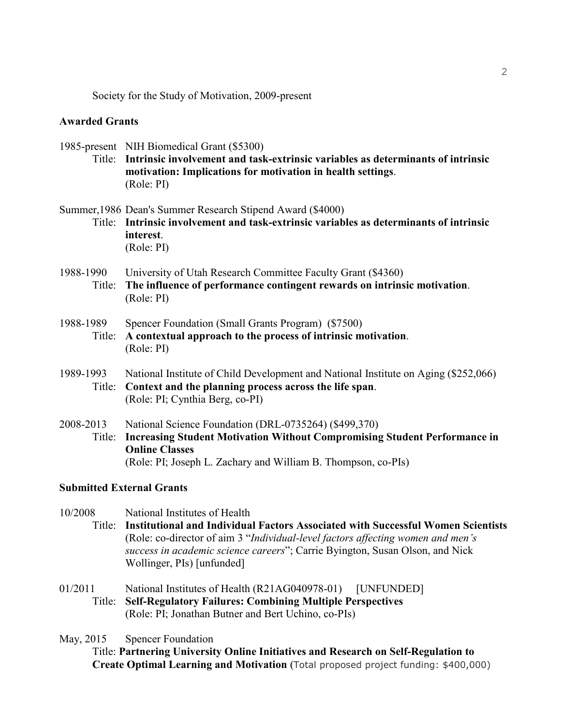Society for the Study of Motivation, 2009-present

### **Awarded Grants**

1985-present NIH Biomedical Grant (\$5300) Title: **Intrinsic involvement and task-extrinsic variables as determinants of intrinsic motivation: Implications for motivation in health settings**. (Role: PI)

Summer,1986 Dean's Summer Research Stipend Award (\$4000) Title: **Intrinsic involvement and task-extrinsic variables as determinants of intrinsic interest**. (Role: PI)

- 1988-1990 University of Utah Research Committee Faculty Grant (\$4360) Title: **The influence of performance contingent rewards on intrinsic motivation**. (Role: PI)
- 1988-1989 Spencer Foundation (Small Grants Program) (\$7500) Title: **A contextual approach to the process of intrinsic motivation**. (Role: PI)
- 1989-1993 National Institute of Child Development and National Institute on Aging (\$252,066) Title: **Context and the planning process across the life span**. (Role: PI; Cynthia Berg, co-PI)
- 2008-2013 National Science Foundation (DRL-0735264) (\$499,370) Title: **Increasing Student Motivation Without Compromising Student Performance in Online Classes** (Role: PI; Joseph L. Zachary and William B. Thompson, co-PIs)

### **Submitted External Grants**

10/2008 National Institutes of Health

Title: **Institutional and Individual Factors Associated with Successful Women Scientists** (Role: co-director of aim 3 "*Individual-level factors affecting women and men's success in academic science careers*"; Carrie Byington, Susan Olson, and Nick Wollinger, PIs) [unfunded]

01/2011 National Institutes of Health (R21AG040978-01) [UNFUNDED] Title: **Self-Regulatory Failures: Combining Multiple Perspectives** (Role: PI; Jonathan Butner and Bert Uchino, co-PIs)

May, 2015 Spencer Foundation

Title: **Partnering University Online Initiatives and Research on Self-Regulation to Create Optimal Learning and Motivation (**Total proposed project funding: \$400,000)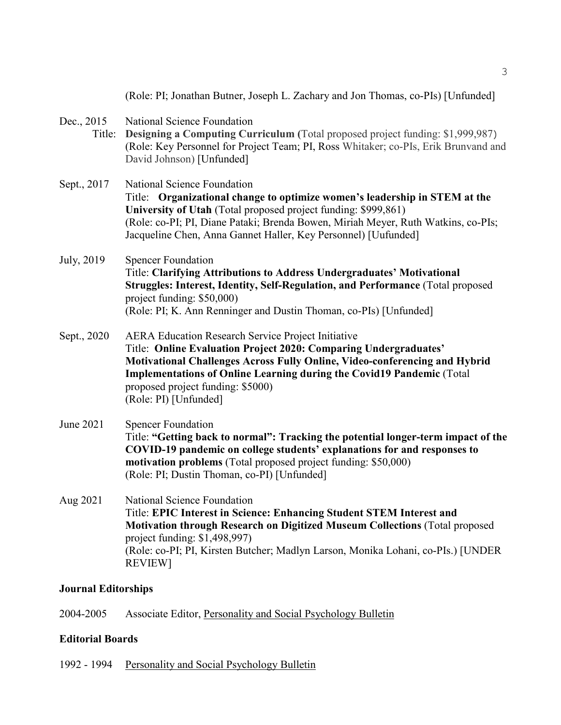|                      | (Role: PI; Jonathan Butner, Joseph L. Zachary and Jon Thomas, co-PIs) [Unfunded]                                                                                                                                                                                                                                                                   |
|----------------------|----------------------------------------------------------------------------------------------------------------------------------------------------------------------------------------------------------------------------------------------------------------------------------------------------------------------------------------------------|
| Dec., 2015<br>Title: | National Science Foundation<br>Designing a Computing Curriculum (Total proposed project funding: \$1,999,987)<br>(Role: Key Personnel for Project Team; PI, Ross Whitaker; co-PIs, Erik Brunvand and<br>David Johnson) [Unfunded]                                                                                                                  |
| Sept., 2017          | National Science Foundation<br>Title: Organizational change to optimize women's leadership in STEM at the<br>University of Utah (Total proposed project funding: \$999,861)<br>(Role: co-PI; PI, Diane Pataki; Brenda Bowen, Miriah Meyer, Ruth Watkins, co-PIs;<br>Jacqueline Chen, Anna Gannet Haller, Key Personnel) [Uufunded]                 |
| July, 2019           | <b>Spencer Foundation</b><br>Title: Clarifying Attributions to Address Undergraduates' Motivational<br>Struggles: Interest, Identity, Self-Regulation, and Performance (Total proposed<br>project funding: \$50,000)<br>(Role: PI; K. Ann Renninger and Dustin Thoman, co-PIs) [Unfunded]                                                          |
| Sept., 2020          | <b>AERA Education Research Service Project Initiative</b><br>Title: Online Evaluation Project 2020: Comparing Undergraduates'<br>Motivational Challenges Across Fully Online, Video-conferencing and Hybrid<br>Implementations of Online Learning during the Covid19 Pandemic (Total<br>proposed project funding: \$5000)<br>(Role: PI) [Unfunded] |
| June 2021            | <b>Spencer Foundation</b><br>Title: "Getting back to normal": Tracking the potential longer-term impact of the<br>COVID-19 pandemic on college students' explanations for and responses to<br>motivation problems (Total proposed project funding: \$50,000)<br>(Role: PI; Dustin Thoman, co-PI) [Unfunded]                                        |
| Aug 2021             | <b>National Science Foundation</b><br>Title: EPIC Interest in Science: Enhancing Student STEM Interest and<br>Motivation through Research on Digitized Museum Collections (Total proposed<br>project funding: \$1,498,997)<br>(Role: co-PI; PI, Kirsten Butcher; Madlyn Larson, Monika Lohani, co-PIs.) [UNDER]<br><b>REVIEW]</b>                  |

# **Journal Editorships**

2004-2005 Associate Editor, Personality and Social Psychology Bulletin

# **Editorial Boards**

1992 - 1994 Personality and Social Psychology Bulletin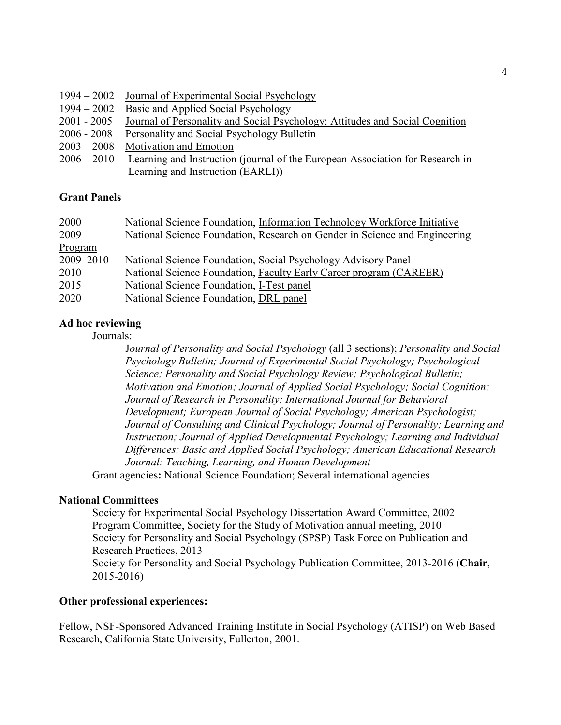|               | 1994 – 2002 Journal of Experimental Social Psychology                         |
|---------------|-------------------------------------------------------------------------------|
| $1994 - 2002$ | Basic and Applied Social Psychology                                           |
| $2001 - 2005$ | Journal of Personality and Social Psychology: Attitudes and Social Cognition  |
| 2006 - 2008   | Personality and Social Psychology Bulletin                                    |
| $2003 - 2008$ | <b>Motivation and Emotion</b>                                                 |
| $2006 - 2010$ | Learning and Instruction (journal of the European Association for Research in |
|               | Learning and Instruction (EARLI)                                              |

# **Grant Panels**

| 2000      | National Science Foundation, Information Technology Workforce Initiative   |
|-----------|----------------------------------------------------------------------------|
| 2009      | National Science Foundation, Research on Gender in Science and Engineering |
| Program   |                                                                            |
| 2009-2010 | National Science Foundation, Social Psychology Advisory Panel              |
| 2010      | National Science Foundation, Faculty Early Career program (CAREER)         |
| 2015      | National Science Foundation, I-Test panel                                  |
| 2020      | National Science Foundation, DRL panel                                     |

# **Ad hoc reviewing**

Journals:

J*ournal of Personality and Social Psychology* (all 3 sections); *Personality and Social Psychology Bulletin; Journal of Experimental Social Psychology; Psychological Science; Personality and Social Psychology Review; Psychological Bulletin; Motivation and Emotion; Journal of Applied Social Psychology; Social Cognition; Journal of Research in Personality; International Journal for Behavioral Development; European Journal of Social Psychology; American Psychologist; Journal of Consulting and Clinical Psychology; Journal of Personality; Learning and Instruction; Journal of Applied Developmental Psychology; Learning and Individual Differences; Basic and Applied Social Psychology; American Educational Research Journal: Teaching, Learning, and Human Development* 

Grant agencies**:** National Science Foundation; Several international agencies

# **National Committees**

Society for Experimental Social Psychology Dissertation Award Committee, 2002 Program Committee, Society for the Study of Motivation annual meeting, 2010 Society for Personality and Social Psychology (SPSP) Task Force on Publication and Research Practices, 2013 Society for Personality and Social Psychology Publication Committee, 2013-2016 (**Chair**, 2015-2016)

# **Other professional experiences:**

Fellow, NSF-Sponsored Advanced Training Institute in Social Psychology (ATISP) on Web Based Research, California State University, Fullerton, 2001.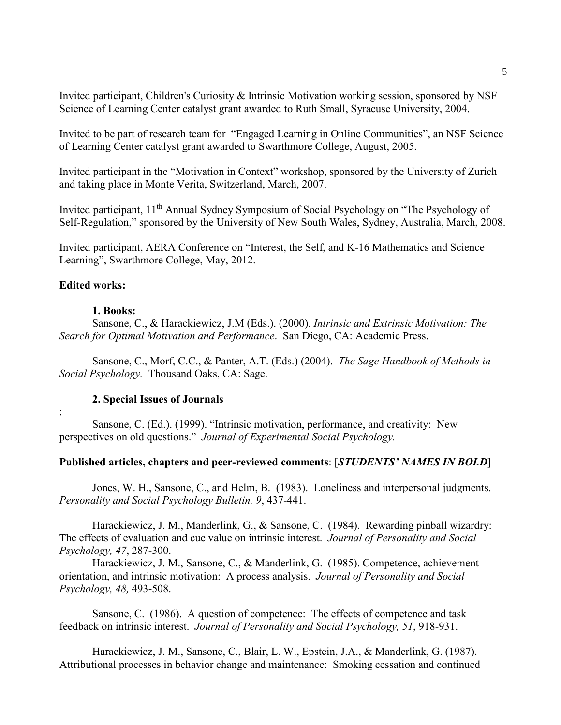Invited participant, Children's Curiosity & Intrinsic Motivation working session, sponsored by NSF Science of Learning Center catalyst grant awarded to Ruth Small, Syracuse University, 2004.

Invited to be part of research team for "Engaged Learning in Online Communities", an NSF Science of Learning Center catalyst grant awarded to Swarthmore College, August, 2005.

Invited participant in the "Motivation in Context" workshop, sponsored by the University of Zurich and taking place in Monte Verita, Switzerland, March, 2007.

Invited participant, 11<sup>th</sup> Annual Sydney Symposium of Social Psychology on "The Psychology of Self-Regulation," sponsored by the University of New South Wales, Sydney, Australia, March, 2008.

Invited participant, AERA Conference on "Interest, the Self, and K-16 Mathematics and Science Learning", Swarthmore College, May, 2012.

### **Edited works:**

#### **1. Books:**

Sansone, C., & Harackiewicz, J.M (Eds.). (2000). *Intrinsic and Extrinsic Motivation: The Search for Optimal Motivation and Performance*. San Diego, CA: Academic Press.

Sansone, C., Morf, C.C., & Panter, A.T. (Eds.) (2004). *The Sage Handbook of Methods in Social Psychology.* Thousand Oaks, CA: Sage.

#### **2. Special Issues of Journals**

:

Sansone, C. (Ed.). (1999). "Intrinsic motivation, performance, and creativity: New perspectives on old questions." *Journal of Experimental Social Psychology.*

### **Published articles, chapters and peer-reviewed comments**: [*STUDENTS' NAMES IN BOLD*]

Jones, W. H., Sansone, C., and Helm, B. (1983). Loneliness and interpersonal judgments. *Personality and Social Psychology Bulletin, 9*, 437-441.

Harackiewicz, J. M., Manderlink, G., & Sansone, C. (1984). Rewarding pinball wizardry: The effects of evaluation and cue value on intrinsic interest. *Journal of Personality and Social Psychology, 47*, 287-300.

Harackiewicz, J. M., Sansone, C., & Manderlink, G. (1985). Competence, achievement orientation, and intrinsic motivation: A process analysis. *Journal of Personality and Social Psychology, 48,* 493-508.

Sansone, C. (1986). A question of competence: The effects of competence and task feedback on intrinsic interest. *Journal of Personality and Social Psychology, 51*, 918-931.

Harackiewicz, J. M., Sansone, C., Blair, L. W., Epstein, J.A., & Manderlink, G. (1987). Attributional processes in behavior change and maintenance: Smoking cessation and continued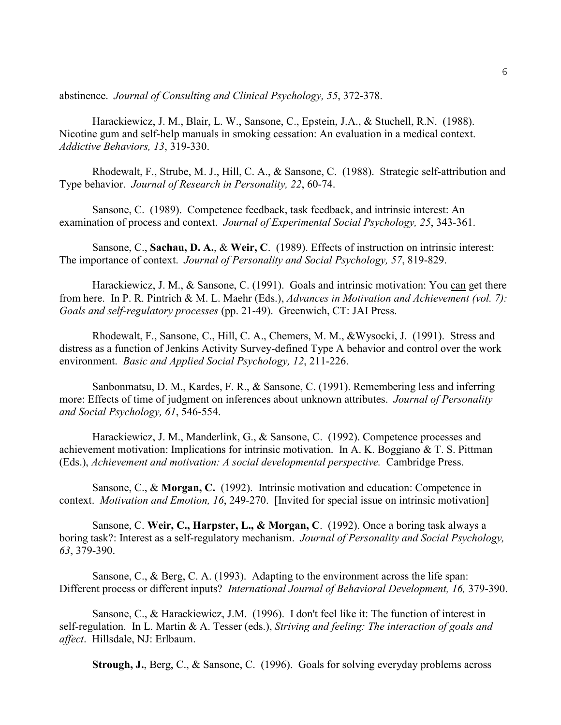abstinence. *Journal of Consulting and Clinical Psychology, 55*, 372-378.

Harackiewicz, J. M., Blair, L. W., Sansone, C., Epstein, J.A., & Stuchell, R.N. (1988). Nicotine gum and self-help manuals in smoking cessation: An evaluation in a medical context. *Addictive Behaviors, 13*, 319-330.

Rhodewalt, F., Strube, M. J., Hill, C. A., & Sansone, C. (1988). Strategic self-attribution and Type behavior. *Journal of Research in Personality, 22*, 60-74.

Sansone, C. (1989). Competence feedback, task feedback, and intrinsic interest: An examination of process and context. *Journal of Experimental Social Psychology, 25*, 343-361.

Sansone, C., **Sachau, D. A.**, & **Weir, C**. (1989). Effects of instruction on intrinsic interest: The importance of context. *Journal of Personality and Social Psychology, 57*, 819-829.

Harackiewicz, J. M., & Sansone, C. (1991). Goals and intrinsic motivation: You can get there from here. In P. R. Pintrich & M. L. Maehr (Eds.), *Advances in Motivation and Achievement (vol. 7): Goals and self-regulatory processes* (pp. 21-49). Greenwich, CT: JAI Press.

Rhodewalt, F., Sansone, C., Hill, C. A., Chemers, M. M., &Wysocki, J. (1991). Stress and distress as a function of Jenkins Activity Survey-defined Type A behavior and control over the work environment. *Basic and Applied Social Psychology, 12*, 211-226.

Sanbonmatsu, D. M., Kardes, F. R., & Sansone, C. (1991). Remembering less and inferring more: Effects of time of judgment on inferences about unknown attributes. *Journal of Personality and Social Psychology, 61*, 546-554.

Harackiewicz, J. M., Manderlink, G., & Sansone, C. (1992). Competence processes and achievement motivation: Implications for intrinsic motivation. In A. K. Boggiano & T. S. Pittman (Eds.), *Achievement and motivation: A social developmental perspective.* Cambridge Press.

Sansone, C., & **Morgan, C.** (1992). Intrinsic motivation and education: Competence in context. *Motivation and Emotion, 16*, 249-270. [Invited for special issue on intrinsic motivation]

Sansone, C. **Weir, C., Harpster, L., & Morgan, C**. (1992). Once a boring task always a boring task?: Interest as a self-regulatory mechanism. *Journal of Personality and Social Psychology, 63*, 379-390.

Sansone, C., & Berg, C. A. (1993). Adapting to the environment across the life span: Different process or different inputs? *International Journal of Behavioral Development, 16,* 379-390.

Sansone, C., & Harackiewicz, J.M. (1996). I don't feel like it: The function of interest in self-regulation. In L. Martin & A. Tesser (eds.), *Striving and feeling: The interaction of goals and affect*. Hillsdale, NJ: Erlbaum.

**Strough, J.**, Berg, C., & Sansone, C. (1996). Goals for solving everyday problems across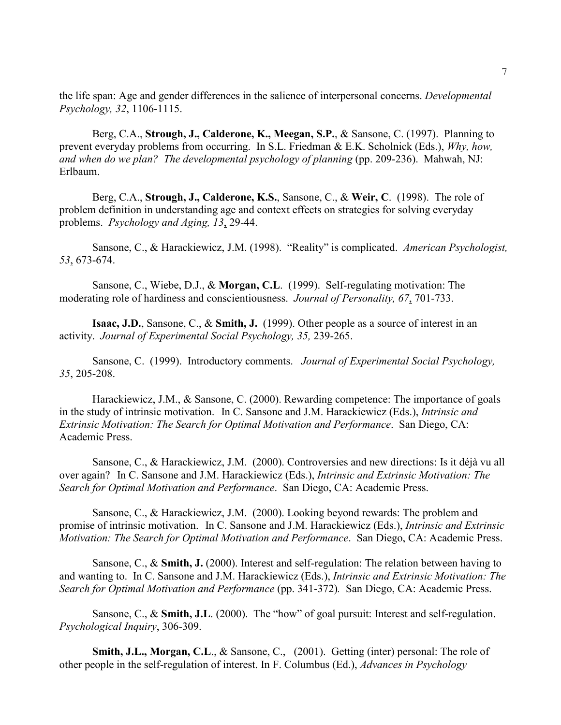the life span: Age and gender differences in the salience of interpersonal concerns. *Developmental Psychology, 32*, 1106-1115.

Berg, C.A., **Strough, J., Calderone, K., Meegan, S.P.**, & Sansone, C. (1997). Planning to prevent everyday problems from occurring. In S.L. Friedman & E.K. Scholnick (Eds.), *Why, how, and when do we plan? The developmental psychology of planning (pp. 209-236). Mahwah, NJ:* Erlbaum.

Berg, C.A., **Strough, J., Calderone, K.S.**, Sansone, C., & **Weir, C**. (1998). The role of problem definition in understanding age and context effects on strategies for solving everyday problems. *Psychology and Aging, 13*, 29-44.

Sansone, C., & Harackiewicz, J.M. (1998). "Reality" is complicated. *American Psychologist, 53*, 673-674.

Sansone, C., Wiebe, D.J., & **Morgan, C.L**. (1999). Self-regulating motivation: The moderating role of hardiness and conscientiousness. *Journal of Personality, 67*, 701-733.

**Isaac, J.D.**, Sansone, C., & **Smith, J.** (1999). Other people as a source of interest in an activity. *Journal of Experimental Social Psychology, 35,* 239-265.

Sansone, C. (1999). Introductory comments. *Journal of Experimental Social Psychology, 35*, 205-208.

Harackiewicz, J.M., & Sansone, C. (2000). Rewarding competence: The importance of goals in the study of intrinsic motivation. In C. Sansone and J.M. Harackiewicz (Eds.), *Intrinsic and Extrinsic Motivation: The Search for Optimal Motivation and Performance*. San Diego, CA: Academic Press.

Sansone, C., & Harackiewicz, J.M. (2000). Controversies and new directions: Is it déjà vu all over again? In C. Sansone and J.M. Harackiewicz (Eds.), *Intrinsic and Extrinsic Motivation: The Search for Optimal Motivation and Performance*. San Diego, CA: Academic Press.

Sansone, C., & Harackiewicz, J.M. (2000). Looking beyond rewards: The problem and promise of intrinsic motivation. In C. Sansone and J.M. Harackiewicz (Eds.), *Intrinsic and Extrinsic Motivation: The Search for Optimal Motivation and Performance*. San Diego, CA: Academic Press.

Sansone, C., & **Smith, J.** (2000). Interest and self-regulation: The relation between having to and wanting to. In C. Sansone and J.M. Harackiewicz (Eds.), *Intrinsic and Extrinsic Motivation: The Search for Optimal Motivation and Performance* (pp. 341-372)*.* San Diego, CA: Academic Press.

Sansone, C., & **Smith, J.L**. (2000). The "how" of goal pursuit: Interest and self-regulation. *Psychological Inquiry*, 306-309.

**Smith, J.L., Morgan, C.L**., & Sansone, C., (2001). Getting (inter) personal: The role of other people in the self-regulation of interest. In F. Columbus (Ed.), *Advances in Psychology*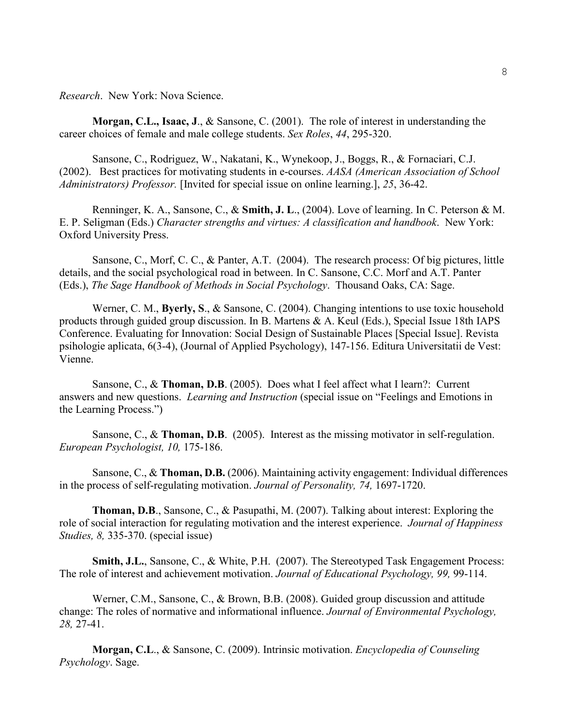*Research*. New York: Nova Science.

**Morgan, C.L., Isaac, J**., & Sansone, C. (2001). The role of interest in understanding the career choices of female and male college students. *Sex Roles*, *44*, 295-320.

Sansone, C., Rodriguez, W., Nakatani, K., Wynekoop, J., Boggs, R., & Fornaciari, C.J. (2002). Best practices for motivating students in e-courses. *AASA (American Association of School Administrators) Professor.* [Invited for special issue on online learning.], *25*, 36-42.

Renninger, K. A., Sansone, C., & **Smith, J. L**., (2004). Love of learning. In C. Peterson & M. E. P. Seligman (Eds.) *Character strengths and virtues: A classification and handbook*. New York: Oxford University Press.

Sansone, C., Morf, C. C., & Panter, A.T. (2004). The research process: Of big pictures, little details, and the social psychological road in between. In C. Sansone, C.C. Morf and A.T. Panter (Eds.), *The Sage Handbook of Methods in Social Psychology*. Thousand Oaks, CA: Sage.

Werner, C. M., **Byerly, S**., & Sansone, C. (2004). Changing intentions to use toxic household products through guided group discussion. In B. Martens & A. Keul (Eds.), Special Issue 18th IAPS Conference. Evaluating for Innovation: Social Design of Sustainable Places [Special Issue]. Revista psihologie aplicata, 6(3-4), (Journal of Applied Psychology), 147-156. Editura Universitatii de Vest: Vienne.

Sansone, C., & **Thoman, D.B**. (2005). Does what I feel affect what I learn?: Current answers and new questions. *Learning and Instruction* (special issue on "Feelings and Emotions in the Learning Process.")

Sansone, C., & **Thoman, D.B**. (2005). Interest as the missing motivator in self-regulation. *European Psychologist, 10,* 175-186.

Sansone, C., & **Thoman, D.B.** (2006). Maintaining activity engagement: Individual differences in the process of self-regulating motivation. *Journal of Personality, 74,* 1697-1720.

**Thoman, D.B**., Sansone, C., & Pasupathi, M. (2007). Talking about interest: Exploring the role of social interaction for regulating motivation and the interest experience. *Journal of Happiness Studies, 8,* 335-370. (special issue)

**Smith, J.L.**, Sansone, C., & White, P.H. (2007). The Stereotyped Task Engagement Process: The role of interest and achievement motivation. *Journal of Educational Psychology, 99,* 99-114.

Werner, C.M., Sansone, C., & Brown, B.B. (2008). Guided group discussion and attitude change: The roles of normative and informational influence. *Journal of Environmental Psychology, 28,* 27-41.

**Morgan, C.L**., & Sansone, C. (2009). Intrinsic motivation. *Encyclopedia of Counseling Psychology*. Sage.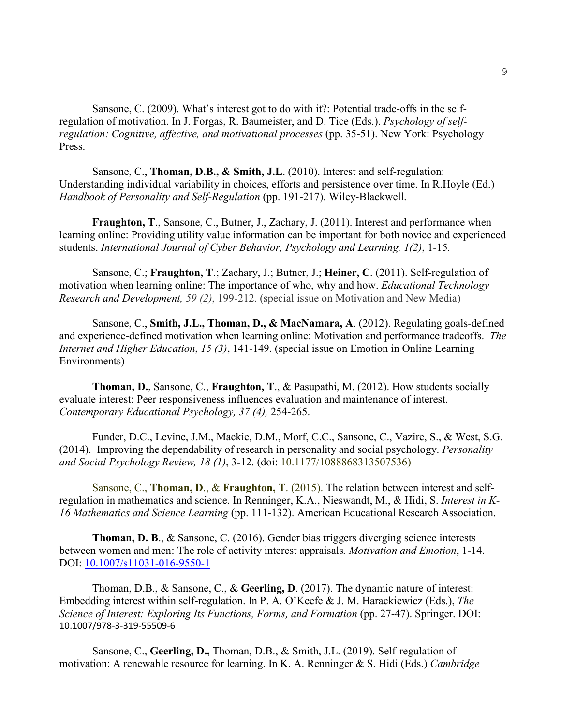Sansone, C. (2009). What's interest got to do with it?: Potential trade-offs in the selfregulation of motivation. In J. Forgas, R. Baumeister, and D. Tice (Eds.). *Psychology of selfregulation: Cognitive, affective, and motivational processes* (pp. 35-51). New York: Psychology Press.

Sansone, C., **Thoman, D.B., & Smith, J.L**. (2010). Interest and self-regulation: Understanding individual variability in choices, efforts and persistence over time. In R.Hoyle (Ed.) *Handbook of Personality and Self-Regulation* (pp. 191-217)*.* Wiley-Blackwell.

**Fraughton, T**., Sansone, C., Butner, J., Zachary, J. (2011). Interest and performance when learning online: Providing utility value information can be important for both novice and experienced students. *International Journal of Cyber Behavior, Psychology and Learning, 1(2)*, 1-15*.*

Sansone, C.; **Fraughton, T**.; Zachary, J.; Butner, J.; **Heiner, C**. (2011). Self-regulation of motivation when learning online: The importance of who, why and how. *Educational Technology Research and Development, 59 (2)*, 199-212. (special issue on Motivation and New Media)

Sansone, C., **Smith, J.L., Thoman, D., & MacNamara, A**. (2012). Regulating goals-defined and experience-defined motivation when learning online: Motivation and performance tradeoffs. *The Internet and Higher Education*, *15 (3)*, 141-149. (special issue on Emotion in Online Learning Environments)

**Thoman, D.**, Sansone, C., **Fraughton, T**., & Pasupathi, M. (2012). How students socially evaluate interest: Peer responsiveness influences evaluation and maintenance of interest. *Contemporary Educational Psychology, 37 (4),* 254-265.

Funder, D.C., Levine, J.M., Mackie, D.M., Morf, C.C., Sansone, C., Vazire, S., & West, S.G. (2014). Improving the dependability of research in personality and social psychology. *Personality and Social Psychology Review, 18 (1)*, 3-12. (doi: 10.1177/1088868313507536)

Sansone, C., **Thoman, D**., & **Fraughton, T**. (2015). The relation between interest and selfregulation in mathematics and science. In Renninger, K.A., Nieswandt, M., & Hidi, S. *Interest in K-16 Mathematics and Science Learning* (pp. 111-132). American Educational Research Association.

**Thoman, D. B**., & Sansone, C. (2016). Gender bias triggers diverging science interests between women and men: The role of activity interest appraisals*. Motivation and Emotion*, 1-14. DOI: [10.1007/s11031-016-9550-1](http://dx.doi.org/10.1007/s11031-016-9550-1)

Thoman, D.B., & Sansone, C., & **Geerling, D**. (2017). The dynamic nature of interest: Embedding interest within self-regulation. In P. A. O'Keefe & J. M. Harackiewicz (Eds.), *The Science of Interest: Exploring Its Functions, Forms, and Formation* (pp. 27-47). Springer. DOI: 10.1007/978-3-319-55509-6

Sansone, C., **Geerling, D.,** Thoman, D.B., & Smith, J.L. (2019). Self-regulation of motivation: A renewable resource for learning. In K. A. Renninger & S. Hidi (Eds.) *Cambridge*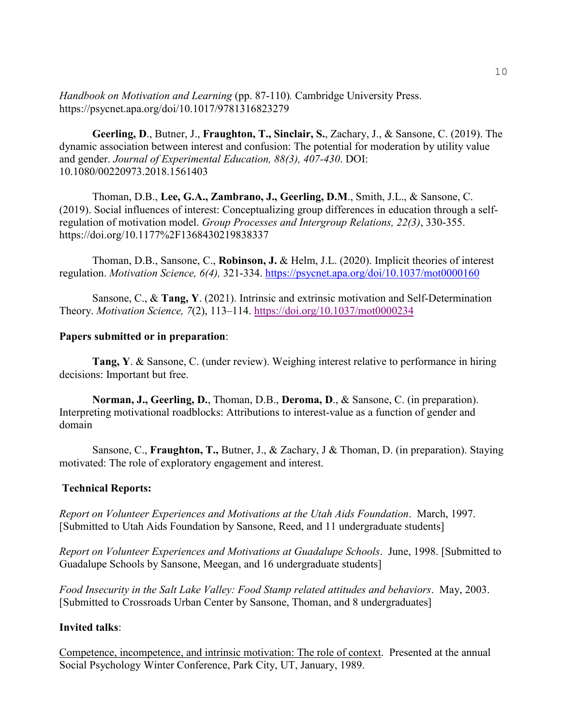*Handbook on Motivation and Learning* (pp. 87-110)*.* Cambridge University Press. https://psycnet.apa.org/doi/10.1017/9781316823279

**Geerling, D**., Butner, J., **Fraughton, T., Sinclair, S.**, Zachary, J., & Sansone, C. (2019). The dynamic association between interest and confusion: The potential for moderation by utility value and gender. *Journal of Experimental Education, 88(3), 407-430*. DOI: 10.1080/00220973.2018.1561403

Thoman, D.B., **Lee, G.A., Zambrano, J., Geerling, D.M**., Smith, J.L., & Sansone, C. (2019). Social influences of interest: Conceptualizing group differences in education through a selfregulation of motivation model. *Group Processes and Intergroup Relations, 22(3)*, 330-355. https://doi.org/10.1177%2F1368430219838337

Thoman, D.B., Sansone, C., **Robinson, J.** & Helm, J.L. (2020). Implicit theories of interest regulation. *Motivation Science, 6(4),* 321-334.<https://psycnet.apa.org/doi/10.1037/mot0000160>

Sansone, C., & **Tang, Y**. (2021). Intrinsic and extrinsic motivation and Self-Determination Theory. *Motivation Science, 7*(2), 113–114. [https://doi.org/10.1037/mot0000234](https://doi.apa.org/doi/10.1037/mot0000234)

### **Papers submitted or in preparation**:

**Tang, Y**. & Sansone, C. (under review). Weighing interest relative to performance in hiring decisions: Important but free.

**Norman, J., Geerling, D.**, Thoman, D.B., **Deroma, D**., & Sansone, C. (in preparation). Interpreting motivational roadblocks: Attributions to interest-value as a function of gender and domain

Sansone, C., **Fraughton, T.,** Butner, J., & Zachary, J & Thoman, D. (in preparation). Staying motivated: The role of exploratory engagement and interest.

### **Technical Reports:**

*Report on Volunteer Experiences and Motivations at the Utah Aids Foundation*. March, 1997. [Submitted to Utah Aids Foundation by Sansone, Reed, and 11 undergraduate students]

*Report on Volunteer Experiences and Motivations at Guadalupe Schools*. June, 1998. [Submitted to Guadalupe Schools by Sansone, Meegan, and 16 undergraduate students]

*Food Insecurity in the Salt Lake Valley: Food Stamp related attitudes and behaviors*. May, 2003. [Submitted to Crossroads Urban Center by Sansone, Thoman, and 8 undergraduates]

### **Invited talks**:

Competence, incompetence, and intrinsic motivation: The role of context. Presented at the annual Social Psychology Winter Conference, Park City, UT, January, 1989.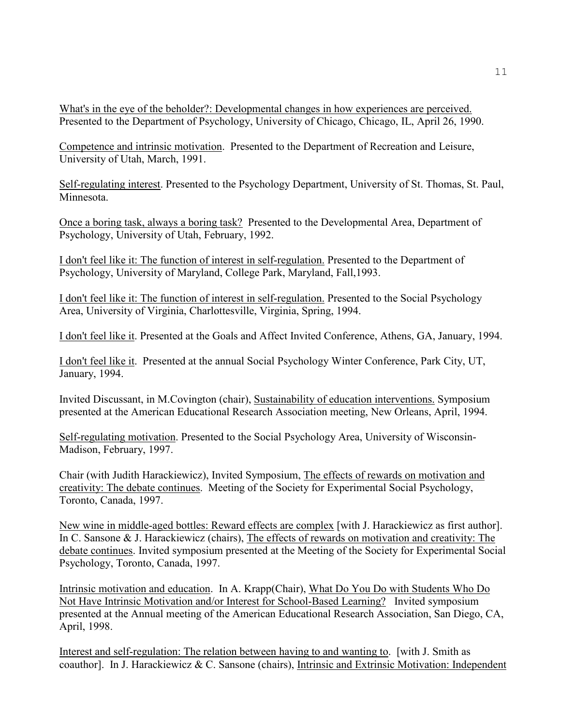What's in the eye of the beholder?: Developmental changes in how experiences are perceived. Presented to the Department of Psychology, University of Chicago, Chicago, IL, April 26, 1990.

Competence and intrinsic motivation. Presented to the Department of Recreation and Leisure, University of Utah, March, 1991.

Self-regulating interest. Presented to the Psychology Department, University of St. Thomas, St. Paul, Minnesota.

Once a boring task, always a boring task? Presented to the Developmental Area, Department of Psychology, University of Utah, February, 1992.

I don't feel like it: The function of interest in self-regulation. Presented to the Department of Psychology, University of Maryland, College Park, Maryland, Fall,1993.

I don't feel like it: The function of interest in self-regulation. Presented to the Social Psychology Area, University of Virginia, Charlottesville, Virginia, Spring, 1994.

I don't feel like it. Presented at the Goals and Affect Invited Conference, Athens, GA, January, 1994.

I don't feel like it. Presented at the annual Social Psychology Winter Conference, Park City, UT, January, 1994.

Invited Discussant, in M.Covington (chair), Sustainability of education interventions. Symposium presented at the American Educational Research Association meeting, New Orleans, April, 1994.

Self-regulating motivation. Presented to the Social Psychology Area, University of Wisconsin-Madison, February, 1997.

Chair (with Judith Harackiewicz), Invited Symposium, The effects of rewards on motivation and creativity: The debate continues. Meeting of the Society for Experimental Social Psychology, Toronto, Canada, 1997.

New wine in middle-aged bottles: Reward effects are complex [with J. Harackiewicz as first author]. In C. Sansone & J. Harackiewicz (chairs), The effects of rewards on motivation and creativity: The debate continues. Invited symposium presented at the Meeting of the Society for Experimental Social Psychology, Toronto, Canada, 1997.

Intrinsic motivation and education. In A. Krapp(Chair), What Do You Do with Students Who Do Not Have Intrinsic Motivation and/or Interest for School-Based Learning? Invited symposium presented at the Annual meeting of the American Educational Research Association, San Diego, CA, April, 1998.

Interest and self-regulation: The relation between having to and wanting to. [with J. Smith as coauthor]. In J. Harackiewicz & C. Sansone (chairs), Intrinsic and Extrinsic Motivation: Independent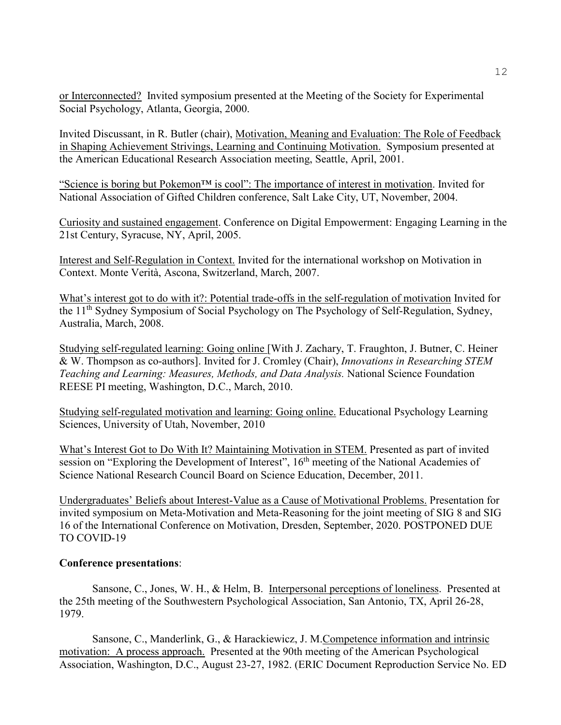or Interconnected? Invited symposium presented at the Meeting of the Society for Experimental Social Psychology, Atlanta, Georgia, 2000.

Invited Discussant, in R. Butler (chair), Motivation, Meaning and Evaluation: The Role of Feedback in Shaping Achievement Strivings, Learning and Continuing Motivation. Symposium presented at the American Educational Research Association meeting, Seattle, April, 2001.

"Science is boring but Pokemon™ is cool": The importance of interest in motivation. Invited for National Association of Gifted Children conference, Salt Lake City, UT, November, 2004.

Curiosity and sustained engagement. Conference on Digital Empowerment: Engaging Learning in the 21st Century, Syracuse, NY, April, 2005.

Interest and Self-Regulation in Context. Invited for the international workshop on Motivation in Context. Monte Verità, Ascona, Switzerland, March, 2007.

What's interest got to do with it?: Potential trade-offs in the self-regulation of motivation Invited for the 11<sup>th</sup> Sydney Symposium of Social Psychology on The Psychology of Self-Regulation, Sydney, Australia, March, 2008.

Studying self-regulated learning: Going online [With J. Zachary, T. Fraughton, J. Butner, C. Heiner & W. Thompson as co-authors]. Invited for J. Cromley (Chair), *Innovations in Researching STEM Teaching and Learning: Measures, Methods, and Data Analysis.* National Science Foundation REESE PI meeting, Washington, D.C., March, 2010.

Studying self-regulated motivation and learning: Going online. Educational Psychology Learning Sciences, University of Utah, November, 2010

What's Interest Got to Do With It? Maintaining Motivation in STEM. Presented as part of invited session on "Exploring the Development of Interest", 16<sup>th</sup> meeting of the National Academies of Science National Research Council Board on Science Education, December, 2011.

Undergraduates' Beliefs about Interest-Value as a Cause of Motivational Problems. Presentation for invited symposium on Meta-Motivation and Meta-Reasoning for the joint meeting of SIG 8 and SIG 16 of the International Conference on Motivation, Dresden, September, 2020. POSTPONED DUE TO COVID-19

### **Conference presentations**:

Sansone, C., Jones, W. H., & Helm, B. Interpersonal perceptions of loneliness. Presented at the 25th meeting of the Southwestern Psychological Association, San Antonio, TX, April 26-28, 1979.

Sansone, C., Manderlink, G., & Harackiewicz, J. M.Competence information and intrinsic motivation: A process approach. Presented at the 90th meeting of the American Psychological Association, Washington, D.C., August 23-27, 1982. (ERIC Document Reproduction Service No. ED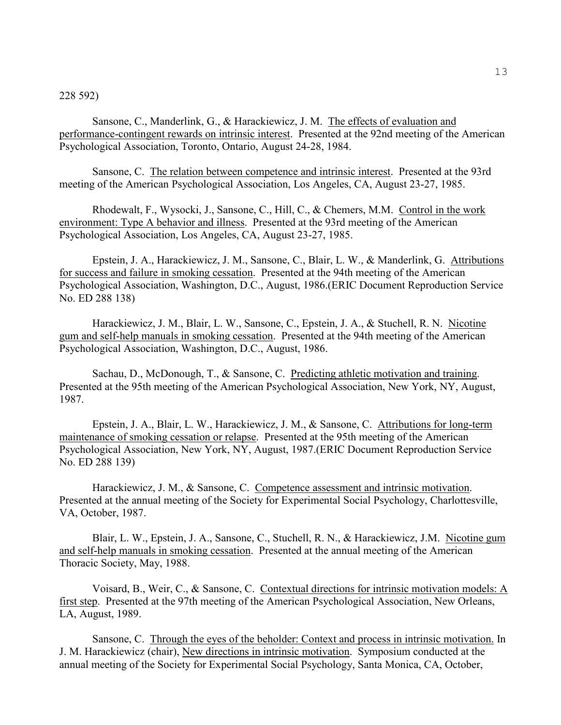#### 228 592)

Sansone, C., Manderlink, G., & Harackiewicz, J. M. The effects of evaluation and performance-contingent rewards on intrinsic interest. Presented at the 92nd meeting of the American Psychological Association, Toronto, Ontario, August 24-28, 1984.

Sansone, C. The relation between competence and intrinsic interest. Presented at the 93rd meeting of the American Psychological Association, Los Angeles, CA, August 23-27, 1985.

Rhodewalt, F., Wysocki, J., Sansone, C., Hill, C., & Chemers, M.M. Control in the work environment: Type A behavior and illness. Presented at the 93rd meeting of the American Psychological Association, Los Angeles, CA, August 23-27, 1985.

Epstein, J. A., Harackiewicz, J. M., Sansone, C., Blair, L. W., & Manderlink, G. Attributions for success and failure in smoking cessation. Presented at the 94th meeting of the American Psychological Association, Washington, D.C., August, 1986.(ERIC Document Reproduction Service No. ED 288 138)

Harackiewicz, J. M., Blair, L. W., Sansone, C., Epstein, J. A., & Stuchell, R. N. Nicotine gum and self-help manuals in smoking cessation. Presented at the 94th meeting of the American Psychological Association, Washington, D.C., August, 1986.

Sachau, D., McDonough, T., & Sansone, C. Predicting athletic motivation and training. Presented at the 95th meeting of the American Psychological Association, New York, NY, August, 1987.

Epstein, J. A., Blair, L. W., Harackiewicz, J. M., & Sansone, C. Attributions for long-term maintenance of smoking cessation or relapse. Presented at the 95th meeting of the American Psychological Association, New York, NY, August, 1987.(ERIC Document Reproduction Service No. ED 288 139)

Harackiewicz, J. M., & Sansone, C. Competence assessment and intrinsic motivation. Presented at the annual meeting of the Society for Experimental Social Psychology, Charlottesville, VA, October, 1987.

Blair, L. W., Epstein, J. A., Sansone, C., Stuchell, R. N., & Harackiewicz, J.M. Nicotine gum and self-help manuals in smoking cessation. Presented at the annual meeting of the American Thoracic Society, May, 1988.

Voisard, B., Weir, C., & Sansone, C. Contextual directions for intrinsic motivation models: A first step. Presented at the 97th meeting of the American Psychological Association, New Orleans, LA, August, 1989.

Sansone, C. Through the eyes of the beholder: Context and process in intrinsic motivation. In J. M. Harackiewicz (chair), New directions in intrinsic motivation. Symposium conducted at the annual meeting of the Society for Experimental Social Psychology, Santa Monica, CA, October,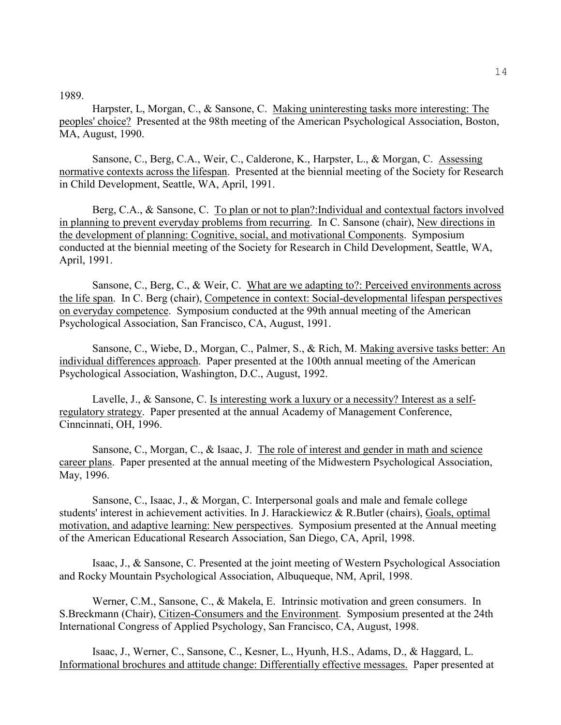1989.

Harpster, L, Morgan, C., & Sansone, C. Making uninteresting tasks more interesting: The peoples' choice? Presented at the 98th meeting of the American Psychological Association, Boston, MA, August, 1990.

Sansone, C., Berg, C.A., Weir, C., Calderone, K., Harpster, L., & Morgan, C. Assessing normative contexts across the lifespan. Presented at the biennial meeting of the Society for Research in Child Development, Seattle, WA, April, 1991.

Berg, C.A., & Sansone, C. To plan or not to plan?:Individual and contextual factors involved in planning to prevent everyday problems from recurring. In C. Sansone (chair), New directions in the development of planning: Cognitive, social, and motivational Components. Symposium conducted at the biennial meeting of the Society for Research in Child Development, Seattle, WA, April, 1991.

Sansone, C., Berg, C., & Weir, C. What are we adapting to?: Perceived environments across the life span. In C. Berg (chair), Competence in context: Social-developmental lifespan perspectives on everyday competence. Symposium conducted at the 99th annual meeting of the American Psychological Association, San Francisco, CA, August, 1991.

Sansone, C., Wiebe, D., Morgan, C., Palmer, S., & Rich, M. Making aversive tasks better: An individual differences approach. Paper presented at the 100th annual meeting of the American Psychological Association, Washington, D.C., August, 1992.

Lavelle, J., & Sansone, C. Is interesting work a luxury or a necessity? Interest as a selfregulatory strategy. Paper presented at the annual Academy of Management Conference, Cinncinnati, OH, 1996.

Sansone, C., Morgan, C., & Isaac, J. The role of interest and gender in math and science career plans. Paper presented at the annual meeting of the Midwestern Psychological Association, May, 1996.

Sansone, C., Isaac, J., & Morgan, C. Interpersonal goals and male and female college students' interest in achievement activities. In J. Harackiewicz & R.Butler (chairs), Goals, optimal motivation, and adaptive learning: New perspectives. Symposium presented at the Annual meeting of the American Educational Research Association, San Diego, CA, April, 1998.

Isaac, J., & Sansone, C. Presented at the joint meeting of Western Psychological Association and Rocky Mountain Psychological Association, Albuqueque, NM, April, 1998.

Werner, C.M., Sansone, C., & Makela, E. Intrinsic motivation and green consumers. In S.Breckmann (Chair), Citizen-Consumers and the Environment. Symposium presented at the 24th International Congress of Applied Psychology, San Francisco, CA, August, 1998.

Isaac, J., Werner, C., Sansone, C., Kesner, L., Hyunh, H.S., Adams, D., & Haggard, L. Informational brochures and attitude change: Differentially effective messages. Paper presented at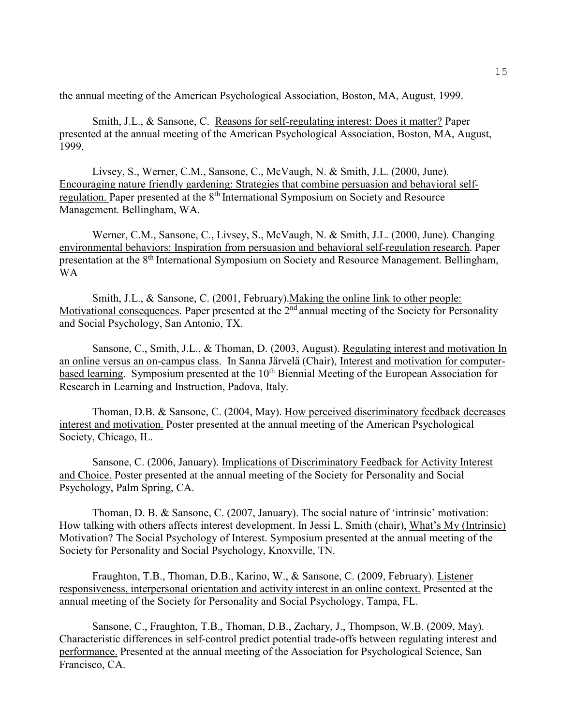the annual meeting of the American Psychological Association, Boston, MA, August, 1999.

Smith, J.L., & Sansone, C. Reasons for self-regulating interest: Does it matter? Paper presented at the annual meeting of the American Psychological Association, Boston, MA, August, 1999.

Livsey, S., Werner, C.M., Sansone, C., McVaugh, N. & Smith, J.L. (2000, June). Encouraging nature friendly gardening: Strategies that combine persuasion and behavioral selfregulation. Paper presented at the 8<sup>th</sup> International Symposium on Society and Resource Management. Bellingham, WA.

Werner, C.M., Sansone, C., Livsey, S., McVaugh, N. & Smith, J.L. (2000, June). Changing environmental behaviors: Inspiration from persuasion and behavioral self-regulation research. Paper presentation at the 8<sup>th</sup> International Symposium on Society and Resource Management. Bellingham, WA

Smith, J.L., & Sansone, C. (2001, February).Making the online link to other people: Motivational consequences. Paper presented at the 2<sup>nd</sup> annual meeting of the Society for Personality and Social Psychology, San Antonio, TX.

Sansone, C., Smith, J.L., & Thoman, D. (2003, August). Regulating interest and motivation In an online versus an on-campus class. In Sanna Järvelä (Chair), Interest and motivation for computerbased learning. Symposium presented at the  $10<sup>th</sup>$  Biennial Meeting of the European Association for Research in Learning and Instruction, Padova, Italy.

Thoman, D.B. & Sansone, C. (2004, May). How perceived discriminatory feedback decreases interest and motivation. Poster presented at the annual meeting of the American Psychological Society, Chicago, IL.

Sansone, C. (2006, January). Implications of Discriminatory Feedback for Activity Interest and Choice. Poster presented at the annual meeting of the Society for Personality and Social Psychology, Palm Spring, CA.

Thoman, D. B. & Sansone, C. (2007, January). The social nature of 'intrinsic' motivation: How talking with others affects interest development. In Jessi L. Smith (chair), What's My (Intrinsic) Motivation? The Social Psychology of Interest. Symposium presented at the annual meeting of the Society for Personality and Social Psychology, Knoxville, TN.

Fraughton, T.B., Thoman, D.B., Karino, W., & Sansone, C. (2009, February). Listener responsiveness, interpersonal orientation and activity interest in an online context. Presented at the annual meeting of the Society for Personality and Social Psychology, Tampa, FL.

Sansone, C., Fraughton, T.B., Thoman, D.B., Zachary, J., Thompson, W.B. (2009, May). Characteristic differences in self-control predict potential trade-offs between regulating interest and performance. Presented at the annual meeting of the Association for Psychological Science, San Francisco, CA.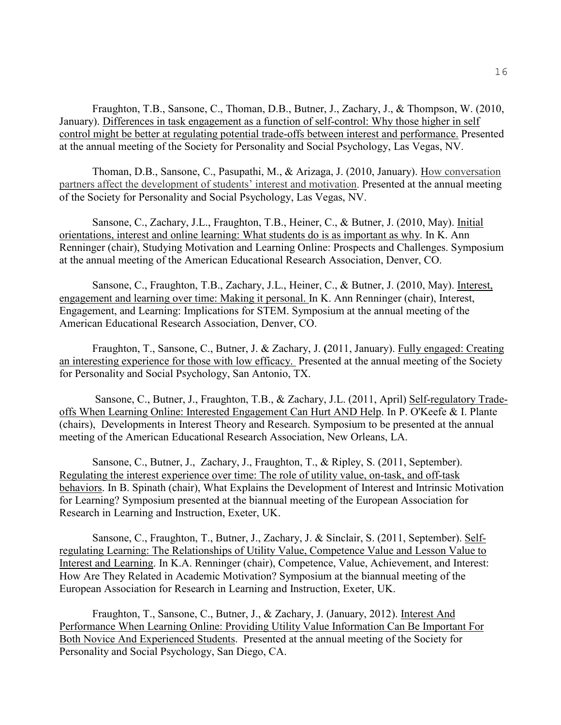Fraughton, T.B., Sansone, C., Thoman, D.B., Butner, J., Zachary, J., & Thompson, W. (2010, January). Differences in task engagement as a function of self-control: Why those higher in self control might be better at regulating potential trade-offs between interest and performance. Presented at the annual meeting of the Society for Personality and Social Psychology, Las Vegas, NV.

Thoman, D.B., Sansone, C., Pasupathi, M., & Arizaga, J. (2010, January). How conversation partners affect the development of students' interest and motivation. Presented at the annual meeting of the Society for Personality and Social Psychology, Las Vegas, NV.

Sansone, C., Zachary, J.L., Fraughton, T.B., Heiner, C., & Butner, J. (2010, May). Initial orientations, interest and online learning: What students do is as important as why. In K. Ann Renninger (chair), Studying Motivation and Learning Online: Prospects and Challenges. Symposium at the annual meeting of the American Educational Research Association, Denver, CO.

Sansone, C., Fraughton, T.B., Zachary, J.L., Heiner, C., & Butner, J. (2010, May). Interest, engagement and learning over time: Making it personal. In K. Ann Renninger (chair), Interest, Engagement, and Learning: Implications for STEM. Symposium at the annual meeting of the American Educational Research Association, Denver, CO.

Fraughton, T., Sansone, C., Butner, J. & Zachary, J. **(**2011, January). Fully engaged: Creating an interesting experience for those with low efficacy. Presented at the annual meeting of the Society for Personality and Social Psychology, San Antonio, TX.

 Sansone, C., Butner, J., Fraughton, T.B., & Zachary, J.L. (2011, April) Self-regulatory Tradeoffs When Learning Online: Interested Engagement Can Hurt AND Help. In P. O'Keefe & I. Plante (chairs), Developments in Interest Theory and Research. Symposium to be presented at the annual meeting of the American Educational Research Association, New Orleans, LA.

Sansone, C., Butner, J., Zachary, J., Fraughton, T., & Ripley, S. (2011, September). Regulating the interest experience over time: The role of utility value, on-task, and off-task behaviors. In B. Spinath (chair), What Explains the Development of Interest and Intrinsic Motivation for Learning? Symposium presented at the biannual meeting of the European Association for Research in Learning and Instruction, Exeter, UK.

Sansone, C., Fraughton, T., Butner, J., Zachary, J. & Sinclair, S. (2011, September). Selfregulating Learning: The Relationships of Utility Value, Competence Value and Lesson Value to Interest and Learning. In K.A. Renninger (chair), Competence, Value, Achievement, and Interest: How Are They Related in Academic Motivation? Symposium at the biannual meeting of the European Association for Research in Learning and Instruction, Exeter, UK.

Fraughton, T., Sansone, C., Butner, J., & Zachary, J. (January, 2012). Interest And Performance When Learning Online: Providing Utility Value Information Can Be Important For Both Novice And Experienced Students. Presented at the annual meeting of the Society for Personality and Social Psychology, San Diego, CA.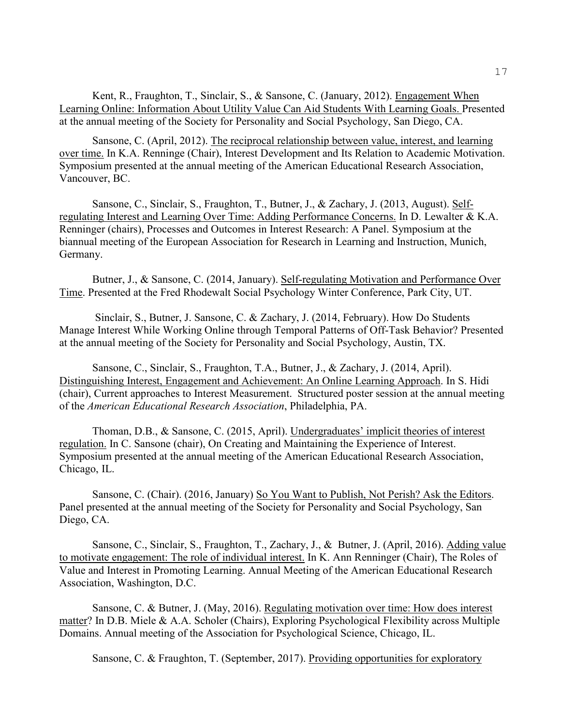Kent, R., Fraughton, T., Sinclair, S., & Sansone, C. (January, 2012). Engagement When Learning Online: Information About Utility Value Can Aid Students With Learning Goals. Presented at the annual meeting of the Society for Personality and Social Psychology, San Diego, CA.

Sansone, C. (April, 2012). The reciprocal relationship between value, interest, and learning over time. In K.A. Renninge (Chair), Interest Development and Its Relation to Academic Motivation. Symposium presented at the annual meeting of the American Educational Research Association, Vancouver, BC.

 Sansone, C., Sinclair, S., Fraughton, T., Butner, J., & Zachary, J. (2013, August). Selfregulating Interest and Learning Over Time: Adding Performance Concerns. In D. Lewalter & K.A. Renninger (chairs), Processes and Outcomes in Interest Research: A Panel. Symposium at the biannual meeting of the European Association for Research in Learning and Instruction, Munich, Germany.

 Butner, J., & Sansone, C. (2014, January). Self-regulating Motivation and Performance Over Time. Presented at the Fred Rhodewalt Social Psychology Winter Conference, Park City, UT.

 Sinclair, S., Butner, J. Sansone, C. & Zachary, J. (2014, February). How Do Students Manage Interest While Working Online through Temporal Patterns of Off-Task Behavior? Presented at the annual meeting of the Society for Personality and Social Psychology, Austin, TX.

Sansone, C., Sinclair, S., Fraughton, T.A., Butner, J., & Zachary, J. (2014, April). Distinguishing Interest, Engagement and Achievement: An Online Learning Approach. In S. Hidi (chair), Current approaches to Interest Measurement. Structured poster session at the annual meeting of the *American Educational Research Association*, Philadelphia, PA.

Thoman, D.B., & Sansone, C. (2015, April). Undergraduates' implicit theories of interest regulation. In C. Sansone (chair), On Creating and Maintaining the Experience of Interest. Symposium presented at the annual meeting of the American Educational Research Association, Chicago, IL.

 Sansone, C. (Chair). (2016, January) So You Want to Publish, Not Perish? Ask the Editors. Panel presented at the annual meeting of the Society for Personality and Social Psychology, San Diego, CA.

Sansone, C., Sinclair, S., Fraughton, T., Zachary, J., & Butner, J. (April, 2016). Adding value to motivate engagement: The role of individual interest. In K. Ann Renninger (Chair), The Roles of Value and Interest in Promoting Learning. Annual Meeting of the American Educational Research Association, Washington, D.C.

Sansone, C. & Butner, J. (May, 2016). Regulating motivation over time: How does interest matter? In D.B. Miele & A.A. Scholer (Chairs), Exploring Psychological Flexibility across Multiple Domains. Annual meeting of the Association for Psychological Science, Chicago, IL.

Sansone, C. & Fraughton, T. (September, 2017). Providing opportunities for exploratory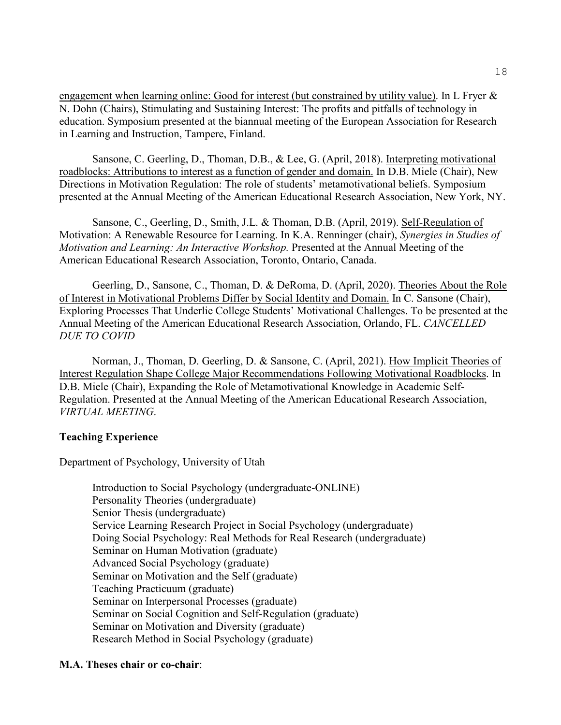engagement when learning online: Good for interest (but constrained by utility value). In L Fryer & N. Dohn (Chairs), Stimulating and Sustaining Interest: The profits and pitfalls of technology in education. Symposium presented at the biannual meeting of the European Association for Research in Learning and Instruction, Tampere, Finland.

Sansone, C. Geerling, D., Thoman, D.B., & Lee, G. (April, 2018). Interpreting motivational roadblocks: Attributions to interest as a function of gender and domain. In D.B. Miele (Chair), New Directions in Motivation Regulation: The role of students' metamotivational beliefs. Symposium presented at the Annual Meeting of the American Educational Research Association, New York, NY.

Sansone, C., Geerling, D., Smith, J.L. & Thoman, D.B. (April, 2019). Self-Regulation of Motivation: A Renewable Resource for Learning. In K.A. Renninger (chair), *Synergies in Studies of Motivation and Learning: An Interactive Workshop.* Presented at the Annual Meeting of the American Educational Research Association, Toronto, Ontario, Canada.

Geerling, D., Sansone, C., Thoman, D. & DeRoma, D. (April, 2020). Theories About the Role of Interest in Motivational Problems Differ by Social Identity and Domain. In C. Sansone (Chair), Exploring Processes That Underlie College Students' Motivational Challenges. To be presented at the Annual Meeting of the American Educational Research Association, Orlando, FL. *CANCELLED DUE TO COVID*

 Norman, J., Thoman, D. Geerling, D. & Sansone, C. (April, 2021). How Implicit Theories of Interest Regulation Shape College Major Recommendations Following Motivational Roadblocks. In D.B. Miele (Chair), Expanding the Role of Metamotivational Knowledge in Academic Self-Regulation. Presented at the Annual Meeting of the American Educational Research Association, *VIRTUAL MEETING*.

# **Teaching Experience**

Department of Psychology, University of Utah

Introduction to Social Psychology (undergraduate-ONLINE) Personality Theories (undergraduate) Senior Thesis (undergraduate) Service Learning Research Project in Social Psychology (undergraduate) Doing Social Psychology: Real Methods for Real Research (undergraduate) Seminar on Human Motivation (graduate) Advanced Social Psychology (graduate) Seminar on Motivation and the Self (graduate) Teaching Practicuum (graduate) Seminar on Interpersonal Processes (graduate) Seminar on Social Cognition and Self-Regulation (graduate) Seminar on Motivation and Diversity (graduate) Research Method in Social Psychology (graduate)

# **M.A. Theses chair or co-chair**: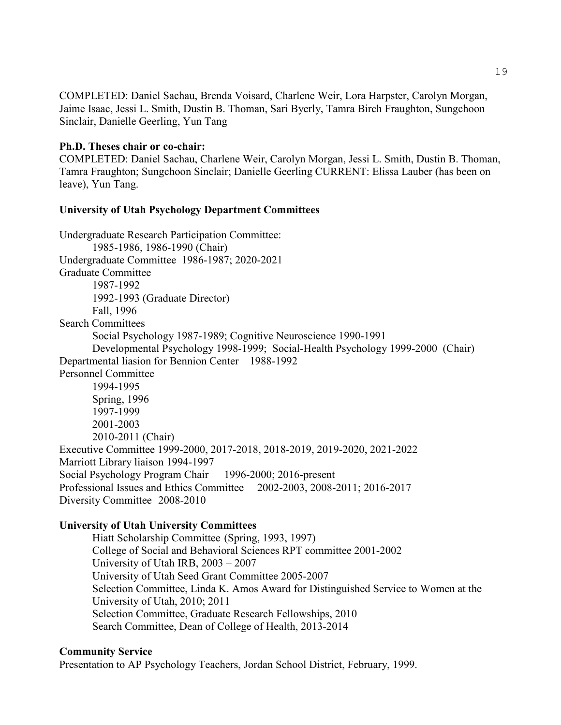COMPLETED: Daniel Sachau, Brenda Voisard, Charlene Weir, Lora Harpster, Carolyn Morgan, Jaime Isaac, Jessi L. Smith, Dustin B. Thoman, Sari Byerly, Tamra Birch Fraughton, Sungchoon Sinclair, Danielle Geerling, Yun Tang

### **Ph.D. Theses chair or co-chair:**

COMPLETED: Daniel Sachau, Charlene Weir, Carolyn Morgan, Jessi L. Smith, Dustin B. Thoman, Tamra Fraughton; Sungchoon Sinclair; Danielle Geerling CURRENT: Elissa Lauber (has been on leave), Yun Tang.

# **University of Utah Psychology Department Committees**

Undergraduate Research Participation Committee: 1985-1986, 1986-1990 (Chair) Undergraduate Committee 1986-1987; 2020-2021 Graduate Committee 1987-1992 1992-1993 (Graduate Director) Fall, 1996 Search Committees Social Psychology 1987-1989; Cognitive Neuroscience 1990-1991 Developmental Psychology 1998-1999; Social-Health Psychology 1999-2000 (Chair) Departmental liasion for Bennion Center 1988-1992 Personnel Committee 1994-1995 Spring, 1996 1997-1999 2001-2003 2010-2011 (Chair) Executive Committee 1999-2000, 2017-2018, 2018-2019, 2019-2020, 2021-2022 Marriott Library liaison 1994-1997 Social Psychology Program Chair 1996-2000; 2016-present Professional Issues and Ethics Committee 2002-2003, 2008-2011; 2016-2017 Diversity Committee 2008-2010

# **University of Utah University Committees**

Hiatt Scholarship Committee (Spring, 1993, 1997) College of Social and Behavioral Sciences RPT committee 2001-2002 University of Utah IRB, 2003 – 2007 University of Utah Seed Grant Committee 2005-2007 Selection Committee, Linda K. Amos Award for Distinguished Service to Women at the University of Utah, 2010; 2011 Selection Committee, Graduate Research Fellowships, 2010 Search Committee, Dean of College of Health, 2013-2014

### **Community Service**

Presentation to AP Psychology Teachers, Jordan School District, February, 1999.